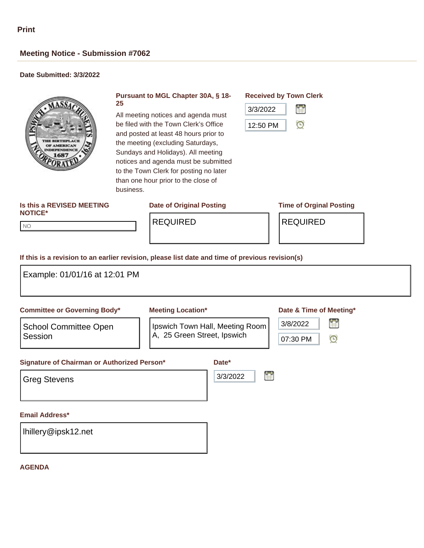# **Meeting Notice - Submission #7062**

## **Date Submitted: 3/3/2022**



### **Pursuant to MGL Chapter 30A, § 18- 25**

All meeting notices and agenda must be filed with the Town Clerk's Office and posted at least 48 hours prior to the meeting (excluding Saturdays, Sundays and Holidays). All meeting notices and agenda must be submitted to the Town Clerk for posting no later than one hour prior to the close of business.

# **Received by Town Clerk**



### **Is this a REVISED MEETING NOTICE\***

**Date of Original Posting Time of Orginal Posting**

NO NO

REQUIRED REQUIRED

# **If this is a revision to an earlier revision, please list date and time of previous revision(s)**

| Example: 01/01/16 at 12:01 PM                                      |                             |                                 |                         |
|--------------------------------------------------------------------|-----------------------------|---------------------------------|-------------------------|
| <b>Committee or Governing Body*</b>                                | <b>Meeting Location*</b>    |                                 | Date & Time of Meeting* |
| <b>School Committee Open</b>                                       |                             | Ipswich Town Hall, Meeting Room | 晉<br>3/8/2022           |
| Session                                                            | A, 25 Green Street, Ipswich |                                 | $\odot$<br>07:30 PM     |
| Signature of Chairman or Authorized Person*<br><b>Greg Stevens</b> |                             | Date*<br>3/3/2022               |                         |
| <b>Email Address*</b>                                              |                             |                                 |                         |
| Ihillery@ipsk12.net                                                |                             |                                 |                         |

#### **AGENDA**